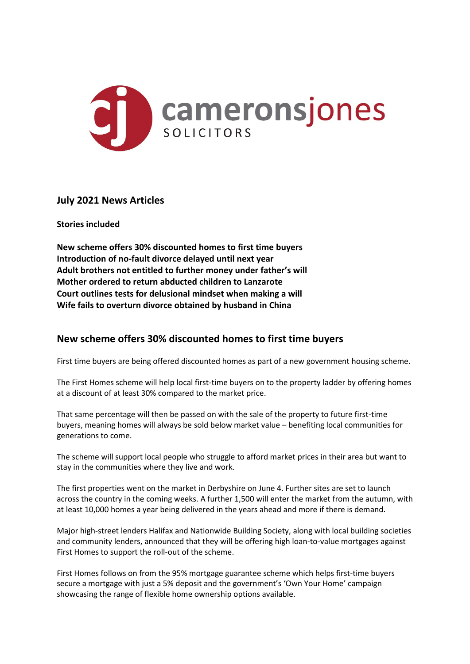

## **July 2021 News Articles**

**Stories included**

**New scheme offers 30% discounted homes to first time buyers Introduction of no-fault divorce delayed until next year Adult brothers not entitled to further money under father's will Mother ordered to return abducted children to Lanzarote Court outlines tests for delusional mindset when making a will Wife fails to overturn divorce obtained by husband in China**

# **New scheme offers 30% discounted homes to first time buyers**

First time buyers are being offered discounted homes as part of a new government housing scheme.

The First Homes scheme will help local first-time buyers on to the property ladder by offering homes at a discount of at least 30% compared to the market price.

That same percentage will then be passed on with the sale of the property to future first-time buyers, meaning homes will always be sold below market value – benefiting local communities for generations to come.

The scheme will support local people who struggle to afford market prices in their area but want to stay in the communities where they live and work.

The first properties went on the market in Derbyshire on June 4. Further sites are set to launch across the country in the coming weeks. A further 1,500 will enter the market from the autumn, with at least 10,000 homes a year being delivered in the years ahead and more if there is demand.

Major high-street lenders Halifax and Nationwide Building Society, along with local building societies and community lenders, announced that they will be offering high loan-to-value mortgages against First Homes to support the roll-out of the scheme.

First Homes follows on from the 95% mortgage guarantee scheme which helps first-time buyers secure a mortgage with just a 5% deposit and the government's 'Own Your Home' campaign showcasing the range of flexible home ownership options available.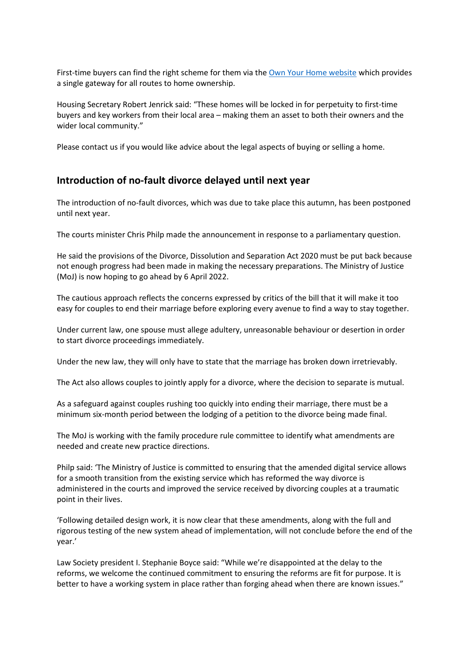First-time buyers can find the right scheme for them via the Own Your Home website which provides a single gateway for all routes to home ownership.

Housing Secretary Robert Jenrick said: "These homes will be locked in for perpetuity to first-time buyers and key workers from their local area – making them an asset to both their owners and the wider local community."

Please contact us if you would like advice about the legal aspects of buying or selling a home.

## **Introduction of no-fault divorce delayed until next year**

The introduction of no-fault divorces, which was due to take place this autumn, has been postponed until next year.

The courts minister Chris Philp made the announcement in response to a parliamentary question.

He said the provisions of the Divorce, Dissolution and Separation Act 2020 must be put back because not enough progress had been made in making the necessary preparations. The Ministry of Justice (MoJ) is now hoping to go ahead by 6 April 2022.

The cautious approach reflects the concerns expressed by critics of the bill that it will make it too easy for couples to end their marriage before exploring every avenue to find a way to stay together.

Under current law, one spouse must allege adultery, unreasonable behaviour or desertion in order to start divorce proceedings immediately.

Under the new law, they will only have to state that the marriage has broken down irretrievably.

The Act also allows couples to jointly apply for a divorce, where the decision to separate is mutual.

As a safeguard against couples rushing too quickly into ending their marriage, there must be a minimum six-month period between the lodging of a petition to the divorce being made final.

The MoJ is working with the family procedure rule committee to identify what amendments are needed and create new practice directions.

Philp said: 'The Ministry of Justice is committed to ensuring that the amended digital service allows for a smooth transition from the existing service which has reformed the way divorce is administered in the courts and improved the service received by divorcing couples at a traumatic point in their lives.

'Following detailed design work, it is now clear that these amendments, along with the full and rigorous testing of the new system ahead of implementation, will not conclude before the end of the year.'

Law Society president I. Stephanie Boyce said: "While we're disappointed at the delay to the reforms, we welcome the continued commitment to ensuring the reforms are fit for purpose. It is better to have a working system in place rather than forging ahead when there are known issues."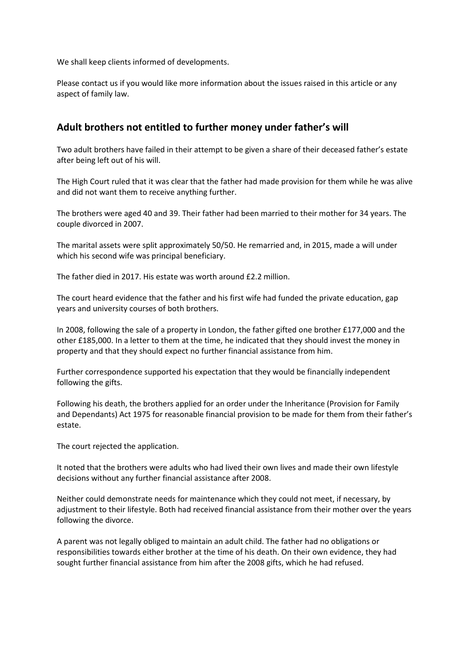We shall keep clients informed of developments.

Please contact us if you would like more information about the issues raised in this article or any aspect of family law.

## **Adult brothers not entitled to further money under father's will**

Two adult brothers have failed in their attempt to be given a share of their deceased father's estate after being left out of his will.

The High Court ruled that it was clear that the father had made provision for them while he was alive and did not want them to receive anything further.

The brothers were aged 40 and 39. Their father had been married to their mother for 34 years. The couple divorced in 2007.

The marital assets were split approximately 50/50. He remarried and, in 2015, made a will under which his second wife was principal beneficiary.

The father died in 2017. His estate was worth around £2.2 million.

The court heard evidence that the father and his first wife had funded the private education, gap years and university courses of both brothers.

In 2008, following the sale of a property in London, the father gifted one brother £177,000 and the other £185,000. In a letter to them at the time, he indicated that they should invest the money in property and that they should expect no further financial assistance from him.

Further correspondence supported his expectation that they would be financially independent following the gifts.

Following his death, the brothers applied for an order under the Inheritance (Provision for Family and Dependants) Act 1975 for reasonable financial provision to be made for them from their father's estate.

The court rejected the application.

It noted that the brothers were adults who had lived their own lives and made their own lifestyle decisions without any further financial assistance after 2008.

Neither could demonstrate needs for maintenance which they could not meet, if necessary, by adjustment to their lifestyle. Both had received financial assistance from their mother over the years following the divorce.

A parent was not legally obliged to maintain an adult child. The father had no obligations or responsibilities towards either brother at the time of his death. On their own evidence, they had sought further financial assistance from him after the 2008 gifts, which he had refused.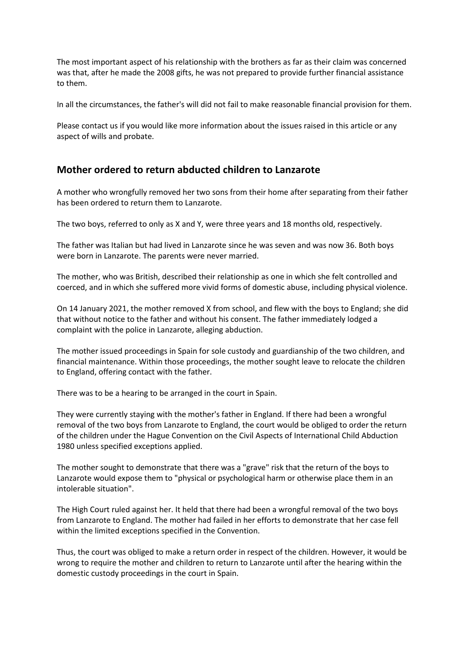The most important aspect of his relationship with the brothers as far as their claim was concerned was that, after he made the 2008 gifts, he was not prepared to provide further financial assistance to them.

In all the circumstances, the father's will did not fail to make reasonable financial provision for them.

Please contact us if you would like more information about the issues raised in this article or any aspect of wills and probate.

## **Mother ordered to return abducted children to Lanzarote**

A mother who wrongfully removed her two sons from their home after separating from their father has been ordered to return them to Lanzarote.

The two boys, referred to only as X and Y, were three years and 18 months old, respectively.

The father was Italian but had lived in Lanzarote since he was seven and was now 36. Both boys were born in Lanzarote. The parents were never married.

The mother, who was British, described their relationship as one in which she felt controlled and coerced, and in which she suffered more vivid forms of domestic abuse, including physical violence.

On 14 January 2021, the mother removed X from school, and flew with the boys to England; she did that without notice to the father and without his consent. The father immediately lodged a complaint with the police in Lanzarote, alleging abduction.

The mother issued proceedings in Spain for sole custody and guardianship of the two children, and financial maintenance. Within those proceedings, the mother sought leave to relocate the children to England, offering contact with the father.

There was to be a hearing to be arranged in the court in Spain.

They were currently staying with the mother's father in England. If there had been a wrongful removal of the two boys from Lanzarote to England, the court would be obliged to order the return of the children under the Hague Convention on the Civil Aspects of International Child Abduction 1980 unless specified exceptions applied.

The mother sought to demonstrate that there was a "grave" risk that the return of the boys to Lanzarote would expose them to "physical or psychological harm or otherwise place them in an intolerable situation".

The High Court ruled against her. It held that there had been a wrongful removal of the two boys from Lanzarote to England. The mother had failed in her efforts to demonstrate that her case fell within the limited exceptions specified in the Convention.

Thus, the court was obliged to make a return order in respect of the children. However, it would be wrong to require the mother and children to return to Lanzarote until after the hearing within the domestic custody proceedings in the court in Spain.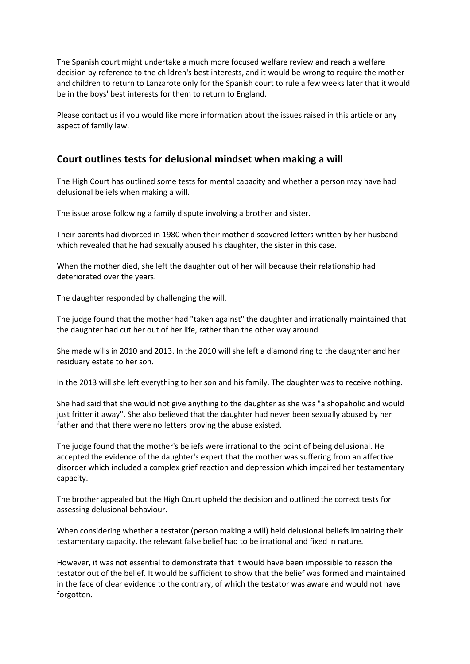The Spanish court might undertake a much more focused welfare review and reach a welfare decision by reference to the children's best interests, and it would be wrong to require the mother and children to return to Lanzarote only for the Spanish court to rule a few weeks later that it would be in the boys' best interests for them to return to England.

Please contact us if you would like more information about the issues raised in this article or any aspect of family law.

## **Court outlines tests for delusional mindset when making a will**

The High Court has outlined some tests for mental capacity and whether a person may have had delusional beliefs when making a will.

The issue arose following a family dispute involving a brother and sister.

Their parents had divorced in 1980 when their mother discovered letters written by her husband which revealed that he had sexually abused his daughter, the sister in this case.

When the mother died, she left the daughter out of her will because their relationship had deteriorated over the years.

The daughter responded by challenging the will.

The judge found that the mother had "taken against" the daughter and irrationally maintained that the daughter had cut her out of her life, rather than the other way around.

She made wills in 2010 and 2013. In the 2010 will she left a diamond ring to the daughter and her residuary estate to her son.

In the 2013 will she left everything to her son and his family. The daughter was to receive nothing.

She had said that she would not give anything to the daughter as she was "a shopaholic and would just fritter it away". She also believed that the daughter had never been sexually abused by her father and that there were no letters proving the abuse existed.

The judge found that the mother's beliefs were irrational to the point of being delusional. He accepted the evidence of the daughter's expert that the mother was suffering from an affective disorder which included a complex grief reaction and depression which impaired her testamentary capacity.

The brother appealed but the High Court upheld the decision and outlined the correct tests for assessing delusional behaviour.

When considering whether a testator (person making a will) held delusional beliefs impairing their testamentary capacity, the relevant false belief had to be irrational and fixed in nature.

However, it was not essential to demonstrate that it would have been impossible to reason the testator out of the belief. It would be sufficient to show that the belief was formed and maintained in the face of clear evidence to the contrary, of which the testator was aware and would not have forgotten.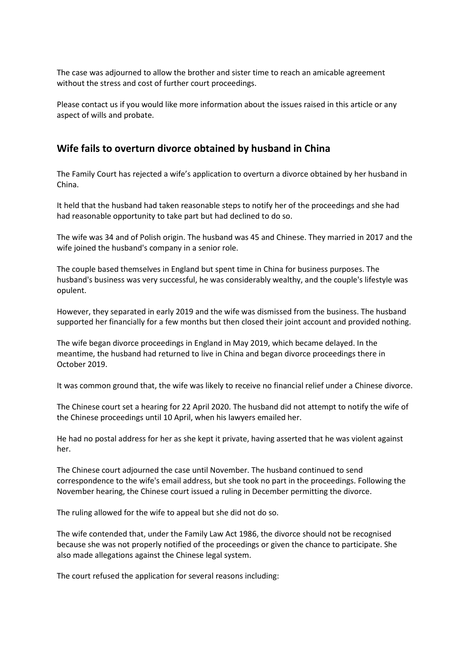The case was adjourned to allow the brother and sister time to reach an amicable agreement without the stress and cost of further court proceedings.

Please contact us if you would like more information about the issues raised in this article or any aspect of wills and probate.

## **Wife fails to overturn divorce obtained by husband in China**

The Family Court has rejected a wife's application to overturn a divorce obtained by her husband in China.

It held that the husband had taken reasonable steps to notify her of the proceedings and she had had reasonable opportunity to take part but had declined to do so.

The wife was 34 and of Polish origin. The husband was 45 and Chinese. They married in 2017 and the wife joined the husband's company in a senior role.

The couple based themselves in England but spent time in China for business purposes. The husband's business was very successful, he was considerably wealthy, and the couple's lifestyle was opulent.

However, they separated in early 2019 and the wife was dismissed from the business. The husband supported her financially for a few months but then closed their joint account and provided nothing.

The wife began divorce proceedings in England in May 2019, which became delayed. In the meantime, the husband had returned to live in China and began divorce proceedings there in October 2019.

It was common ground that, the wife was likely to receive no financial relief under a Chinese divorce.

The Chinese court set a hearing for 22 April 2020. The husband did not attempt to notify the wife of the Chinese proceedings until 10 April, when his lawyers emailed her.

He had no postal address for her as she kept it private, having asserted that he was violent against her.

The Chinese court adjourned the case until November. The husband continued to send correspondence to the wife's email address, but she took no part in the proceedings. Following the November hearing, the Chinese court issued a ruling in December permitting the divorce.

The ruling allowed for the wife to appeal but she did not do so.

The wife contended that, under the Family Law Act 1986, the divorce should not be recognised because she was not properly notified of the proceedings or given the chance to participate. She also made allegations against the Chinese legal system.

The court refused the application for several reasons including: